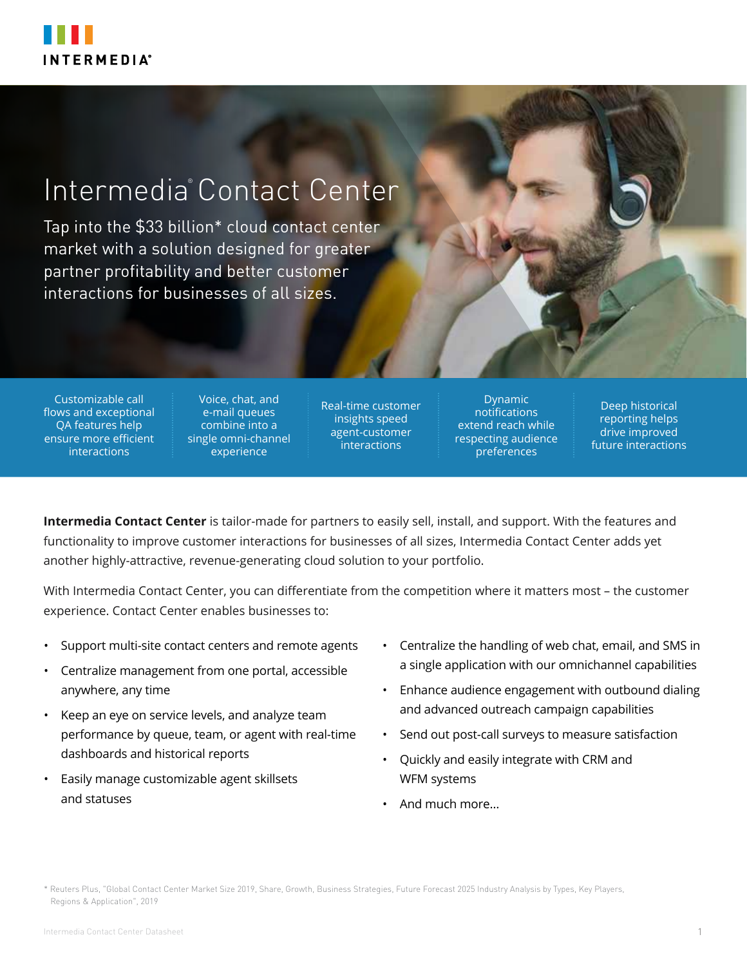

# Intermedia<sup>®</sup> Contact Center

Tap into the \$33 billion\* cloud contact center market with a solution designed for greater partner profitability and better customer interactions for businesses of all sizes.

Customizable call flows and exceptional QA features help ensure more efficient interactions

Voice, chat, and e-mail queues combine into a single omni-channel experience

Real-time customer insights speed agent-customer **interactions** 

**Dynamic** notifications extend reach while respecting audience preferences

Deep historical reporting helps drive improved future interactions

**Intermedia Contact Center** is tailor-made for partners to easily sell, install, and support. With the features and functionality to improve customer interactions for businesses of all sizes, Intermedia Contact Center adds yet another highly-attractive, revenue-generating cloud solution to your portfolio.

With Intermedia Contact Center, you can differentiate from the competition where it matters most – the customer experience. Contact Center enables businesses to:

- Support multi-site contact centers and remote agents
- Centralize management from one portal, accessible anywhere, any time
- Keep an eye on service levels, and analyze team performance by queue, team, or agent with real-time dashboards and historical reports
- Easily manage customizable agent skillsets and statuses
- Centralize the handling of web chat, email, and SMS in a single application with our omnichannel capabilities
- Enhance audience engagement with outbound dialing and advanced outreach campaign capabilities
- Send out post-call surveys to measure satisfaction
- Quickly and easily integrate with CRM and WFM systems
- And much more…

<sup>\*</sup> Reuters Plus, "Global Contact Center Market Size 2019, Share, Growth, Business Strategies, Future Forecast 2025 Industry Analysis by Types, Key Players, Regions & Application", 2019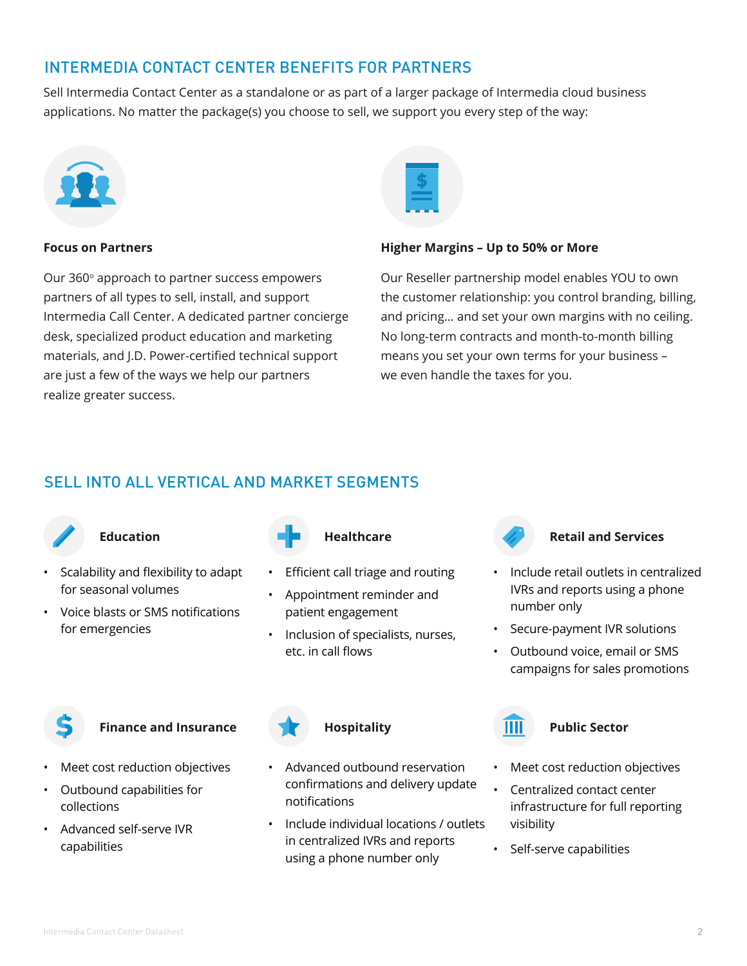# INTERMEDIA CONTACT CENTER BENEFITS FOR PARTNERS

Sell Intermedia Contact Center as a standalone or as part of a larger package of Intermedia cloud business applications. No matter the package(s) you choose to sell, we support you every step of the way:



# **Focus on Partners**

Our 360° approach to partner success empowers partners of all types to sell, install, and support Intermedia Call Center. A dedicated partner concierge desk, specialized product education and marketing materials, and J.D. Power-certified technical support are just a few of the ways we help our partners realize greater success.



# **Higher Margins – Up to 50% or More**

Our Reseller partnership model enables YOU to own the customer relationship: you control branding, billing, and pricing… and set your own margins with no ceiling. No long-term contracts and month-to-month billing means you set your own terms for your business – we even handle the taxes for you.

# SELL INTO ALL VERTICAL AND MARKET SEGMENTS



# **Education**

- Scalability and flexibility to adapt for seasonal volumes
- Voice blasts or SMS notifications for emergencies



- **Healthcare**
- Efficient call triage and routing
- Appointment reminder and patient engagement
- Inclusion of specialists, nurses, etc. in call flows



# **Finance and Insurance**

- Meet cost reduction objectives
- Outbound capabilities for collections
- Advanced self-serve IVR capabilities



# **Hospitality**

- Advanced outbound reservation confirmations and delivery update notifications
- Include individual locations / outlets in centralized IVRs and reports using a phone number only



# **Retail and Services**

- Include retail outlets in centralized IVRs and reports using a phone number only
- Secure-payment IVR solutions
- Outbound voice, email or SMS campaigns for sales promotions



# **Public Sector**

- Meet cost reduction objectives
- Centralized contact center infrastructure for full reporting visibility
- Self-serve capabilities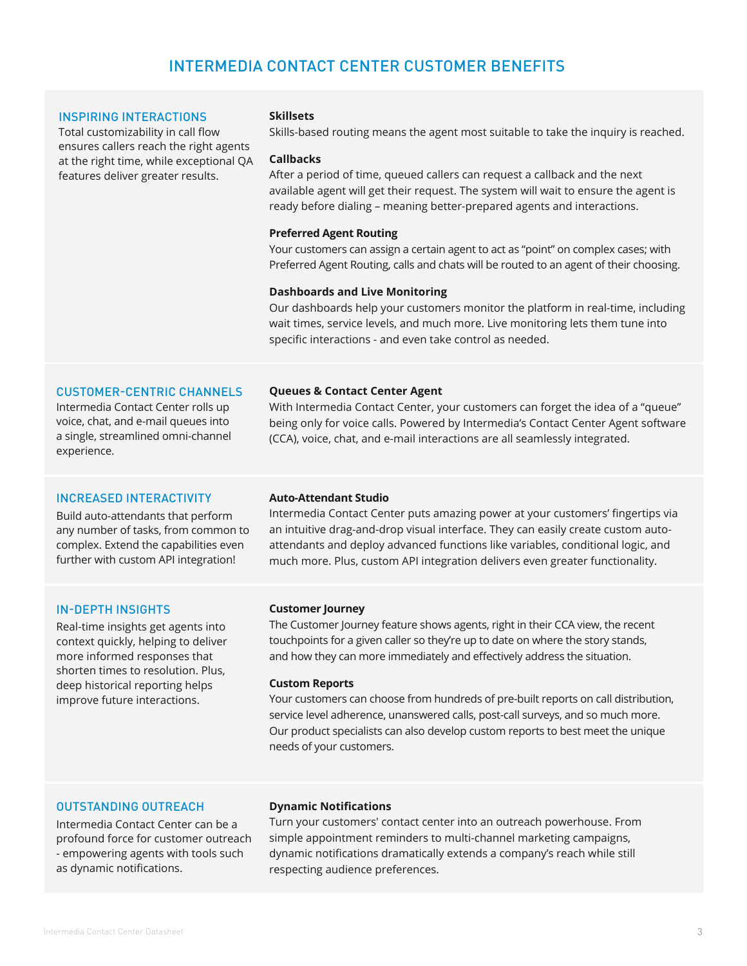# INTERMEDIA CONTACT CENTER CUSTOMER BENEFITS

# INSPIRING INTERACTIONS

Total customizability in call flow ensures callers reach the right agents at the right time, while exceptional QA features deliver greater results.

## **Skillsets**

Skills-based routing means the agent most suitable to take the inquiry is reached.

#### **Callbacks**

After a period of time, queued callers can request a callback and the next available agent will get their request. The system will wait to ensure the agent is ready before dialing – meaning better-prepared agents and interactions.

#### **Preferred Agent Routing**

Your customers can assign a certain agent to act as "point" on complex cases; with Preferred Agent Routing, calls and chats will be routed to an agent of their choosing.

#### **Dashboards and Live Monitoring**

Our dashboards help your customers monitor the platform in real-time, including wait times, service levels, and much more. Live monitoring lets them tune into specific interactions - and even take control as needed.

## CUSTOMER-CENTRIC CHANNELS

Intermedia Contact Center rolls up voice, chat, and e-mail queues into a single, streamlined omni-channel experience.

#### **Queues & Contact Center Agent**

With Intermedia Contact Center, your customers can forget the idea of a "queue" being only for voice calls. Powered by Intermedia's Contact Center Agent software (CCA), voice, chat, and e-mail interactions are all seamlessly integrated.

#### INCREASED INTERACTIVITY

Build auto-attendants that perform any number of tasks, from common to complex. Extend the capabilities even further with custom API integration!

# **Auto-Attendant Studio**

Intermedia Contact Center puts amazing power at your customers' fingertips via an intuitive drag-and-drop visual interface. They can easily create custom autoattendants and deploy advanced functions like variables, conditional logic, and much more. Plus, custom API integration delivers even greater functionality.

## IN-DEPTH INSIGHTS

Real-time insights get agents into context quickly, helping to deliver more informed responses that shorten times to resolution. Plus, deep historical reporting helps improve future interactions.

#### **Customer Journey**

The Customer Journey feature shows agents, right in their CCA view, the recent touchpoints for a given caller so they're up to date on where the story stands, and how they can more immediately and effectively address the situation.

#### **Custom Reports**

Your customers can choose from hundreds of pre-built reports on call distribution, service level adherence, unanswered calls, post-call surveys, and so much more. Our product specialists can also develop custom reports to best meet the unique needs of your customers.

# OUTSTANDING OUTREACH

Intermedia Contact Center can be a profound force for customer outreach - empowering agents with tools such as dynamic notifications.

## **Dynamic Notifications**

Turn your customers' contact center into an outreach powerhouse. From simple appointment reminders to multi-channel marketing campaigns, dynamic notifications dramatically extends a company's reach while still respecting audience preferences.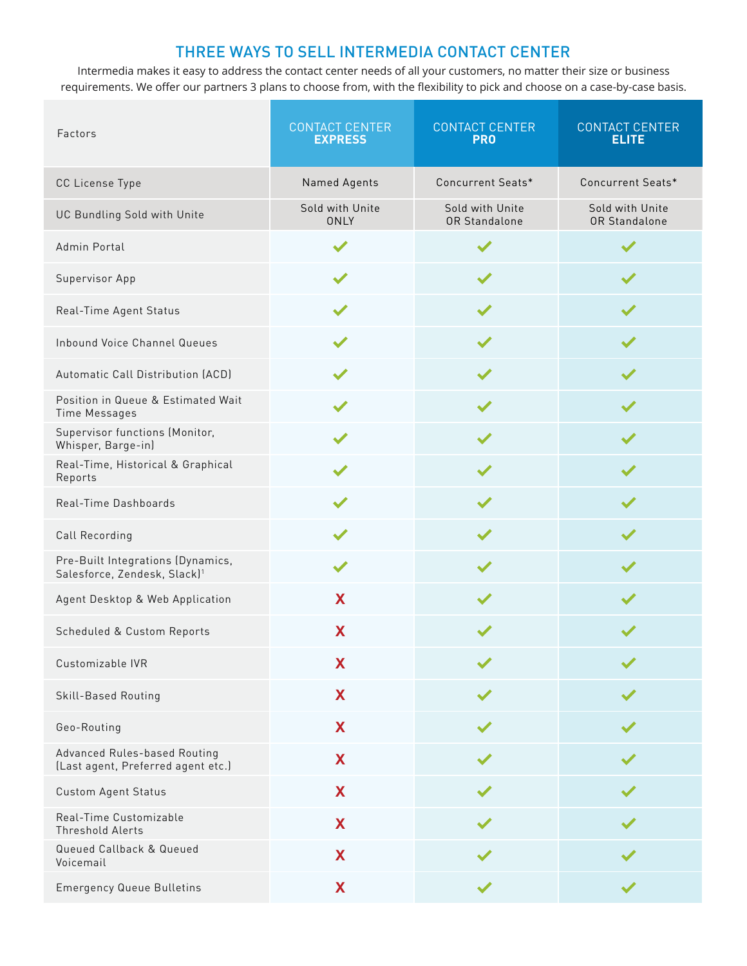# THREE WAYS TO SELL INTERMEDIA CONTACT CENTER

Intermedia makes it easy to address the contact center needs of all your customers, no matter their size or business requirements. We offer our partners 3 plans to choose from, with the flexibility to pick and choose on a case-by-case basis.

| Factors                                                                       | <b>CONTACT CENTER</b><br><b>EXPRESS</b> | CONTACT CENTER<br><b>PRO</b>     | <b>CONTACT CENTER</b><br><b>ELITE</b> |
|-------------------------------------------------------------------------------|-----------------------------------------|----------------------------------|---------------------------------------|
| CC License Type                                                               | Named Agents                            | Concurrent Seats*                | Concurrent Seats*                     |
| UC Bundling Sold with Unite                                                   | Sold with Unite<br><b>ONLY</b>          | Sold with Unite<br>OR Standalone | Sold with Unite<br>OR Standalone      |
| Admin Portal                                                                  | $\checkmark$                            | $\blacktriangledown$             | $\checkmark$                          |
| Supervisor App                                                                | $\blacktriangledown$                    |                                  |                                       |
| Real-Time Agent Status                                                        |                                         |                                  |                                       |
| Inbound Voice Channel Queues                                                  |                                         |                                  |                                       |
| Automatic Call Distribution (ACD)                                             |                                         |                                  |                                       |
| Position in Queue & Estimated Wait<br>Time Messages                           |                                         |                                  |                                       |
| Supervisor functions (Monitor,<br>Whisper, Barge-in)                          | $\blacktriangledown$                    | $\blacktriangledown$             |                                       |
| Real-Time, Historical & Graphical<br>Reports                                  |                                         |                                  |                                       |
| Real-Time Dashboards                                                          |                                         |                                  |                                       |
| Call Recording                                                                |                                         |                                  |                                       |
| Pre-Built Integrations (Dynamics,<br>Salesforce, Zendesk, Slack) <sup>1</sup> |                                         |                                  |                                       |
| Agent Desktop & Web Application                                               | X                                       |                                  |                                       |
| Scheduled & Custom Reports                                                    | X                                       |                                  |                                       |
| Customizable IVR                                                              | X                                       |                                  |                                       |
| Skill-Based Routing                                                           | X                                       |                                  |                                       |
| Geo-Routing                                                                   | X                                       |                                  |                                       |
| Advanced Rules-based Routing<br>(Last agent, Preferred agent etc.)            | X                                       |                                  |                                       |
| <b>Custom Agent Status</b>                                                    | X                                       |                                  |                                       |
| Real-Time Customizable<br>Threshold Alerts                                    | X                                       |                                  |                                       |
| Queued Callback & Queued<br>Voicemail                                         | X                                       |                                  |                                       |
| <b>Emergency Queue Bulletins</b>                                              | X                                       |                                  |                                       |